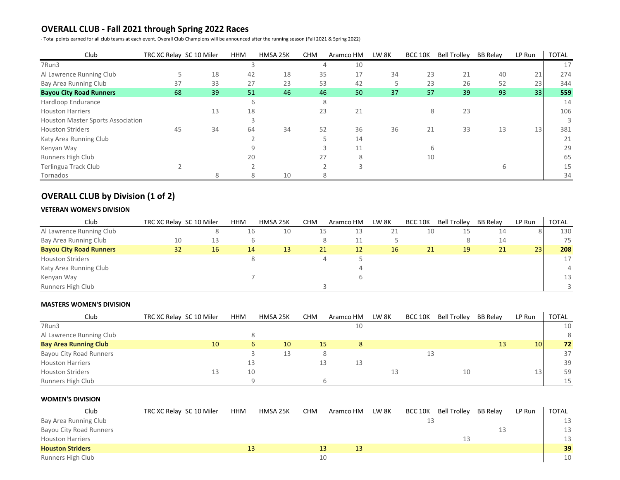### **OVERALL CLUB - Fall 2021 through Spring 2022 Races**

- Total points earned for all club teams at each event. Overall Club Champions will be announced after the running season (Fall 2021 & Spring 2022)

| Club                                     | TRC XC Relay SC 10 Miler |    | <b>HHM</b> | HMSA 25K | <b>CHM</b> | Aramco HM | LW <sub>8K</sub> | <b>BCC 10K</b> | <b>Bell Trolley</b> | <b>BB Relay</b> | LP Run | <b>TOTAL</b> |
|------------------------------------------|--------------------------|----|------------|----------|------------|-----------|------------------|----------------|---------------------|-----------------|--------|--------------|
| 7Run3                                    |                          |    |            |          |            | 10        |                  |                |                     |                 |        | 17           |
| Al Lawrence Running Club                 |                          | 18 | 42         | 18       | 35         | 17        | 34               | 23             | 21                  | 40              | 21     | 274          |
| Bay Area Running Club                    | 37                       | 33 | 27         | 23       | 53         | 42        |                  | 23             | 26                  | 52              | 23     | 344          |
| <b>Bayou City Road Runners</b>           | 68                       | 39 | 51         | 46       | 46         | 50        | 37               | 57             | 39                  | 93              | 33     | 559          |
| Hardloop Endurance                       |                          |    | 6          |          |            | 8         |                  |                |                     |                 |        | 14           |
| <b>Houston Harriers</b>                  |                          | 13 | 18         |          | 23         | 21        |                  | 8              | 23                  |                 |        | 106          |
| <b>Houston Master Sports Association</b> |                          |    |            |          |            |           |                  |                |                     |                 |        |              |
| <b>Houston Striders</b>                  | 45                       | 34 | 64         | 34       | 52         | 36        | 36               | 21             | 33                  | 13              | 13     | 381          |
| Katy Area Running Club                   |                          |    |            |          |            | 14        |                  |                |                     |                 |        | 21           |
| Kenyan Way                               |                          |    |            |          |            | 11        |                  |                |                     |                 |        | 29           |
| Runners High Club                        |                          |    | 20         |          | 27         |           |                  | 10             |                     |                 |        | 65           |
| Terlingua Track Club                     |                          |    |            |          |            |           |                  |                |                     |                 |        | 15           |
| Tornados                                 |                          |    |            | 10       |            | 8.        |                  |                |                     |                 |        | 34           |

# **OVERALL CLUB by Division (1 of 2)**

### **VETERAN WOMEN'S DIVISION**

| Club                           | TRC XC Relay SC 10 Miler |    | <b>HHM</b> | HMSA 25K | <b>CHM</b> | Aramco HM | LW <sub>8K</sub> | <b>BCC 10K</b> | <b>Bell Trolley</b> | <b>BB Relay</b> | LP Run | <b>TOTAL</b> |
|--------------------------------|--------------------------|----|------------|----------|------------|-----------|------------------|----------------|---------------------|-----------------|--------|--------------|
| Al Lawrence Running Club       |                          |    | 16         | 10       | 15         | 13        | 21               | 10             | L5                  | 14              |        | 130          |
| Bay Area Running Club          | 10                       | 13 |            |          |            | 11        |                  |                |                     | 14              |        | 75           |
| <b>Bayou City Road Runners</b> | 32                       | 16 | 14         | 13       | 21         | 12        | 16               | 21             | 19                  | 21              | 23     | 208          |
| <b>Houston Striders</b>        |                          |    |            |          |            |           |                  |                |                     |                 |        | 17           |
| Katy Area Running Club         |                          |    |            |          |            |           |                  |                |                     |                 |        | 4            |
| Kenyan Way                     |                          |    |            |          |            |           |                  |                |                     |                 |        | 13           |
| Runners High Club              |                          |    |            |          |            |           |                  |                |                     |                 |        |              |

### **MASTERS WOMEN'S DIVISION**

| Club                           | TRC XC Relay SC 10 Miler | <b>HHM</b> | HMSA 25K | <b>CHM</b> | Aramco HM | LW 8K | BCC 10K | <b>Bell Trolley</b> | <b>BB Relav</b> | LP Run          | <b>TOTAL</b> |
|--------------------------------|--------------------------|------------|----------|------------|-----------|-------|---------|---------------------|-----------------|-----------------|--------------|
| 7Run3                          |                          |            |          |            | 10        |       |         |                     |                 |                 | 10           |
| Al Lawrence Running Club       |                          |            |          |            |           |       |         |                     |                 |                 | 8            |
| <b>Bay Area Running Club</b>   | 10                       |            | 10<br>6  |            | 15        |       |         |                     | 13              | 10 <sup>1</sup> | 72           |
| <b>Bayou City Road Runners</b> |                          |            | 13       |            |           |       | 13      |                     |                 |                 | 37           |
| <b>Houston Harriers</b>        |                          |            |          |            | 13        |       |         |                     |                 |                 | 39           |
| <b>Houston Striders</b>        | 13                       | 10         |          |            |           |       |         | 10                  |                 | 13              | 59           |
| Runners High Club              |                          |            |          |            |           |       |         |                     |                 |                 | 15           |

### **WOMEN'S DIVISION**

| Club                           | TRC XC Relay SC 10 Miler | <b>HHM</b> | HMSA 25K | <b>CHM</b> | Aramco HM | LW 8K | BCC 10K | <b>Bell Trolley</b> | <b>BB Relay</b> | LP Run | TOTAL |
|--------------------------------|--------------------------|------------|----------|------------|-----------|-------|---------|---------------------|-----------------|--------|-------|
| Bay Area Running Club          |                          |            |          |            |           |       | --      |                     |                 |        | 13    |
| <b>Bayou City Road Runners</b> |                          |            |          |            |           |       |         |                     | ᆠ               |        | 13    |
| <b>Houston Harriers</b>        |                          |            |          |            |           |       |         |                     |                 |        | 13    |
| <b>Houston Striders</b>        |                          |            |          |            | 13        |       |         |                     |                 |        | 39    |
| Runners High Club              |                          |            |          | 10         |           |       |         |                     |                 |        | 10    |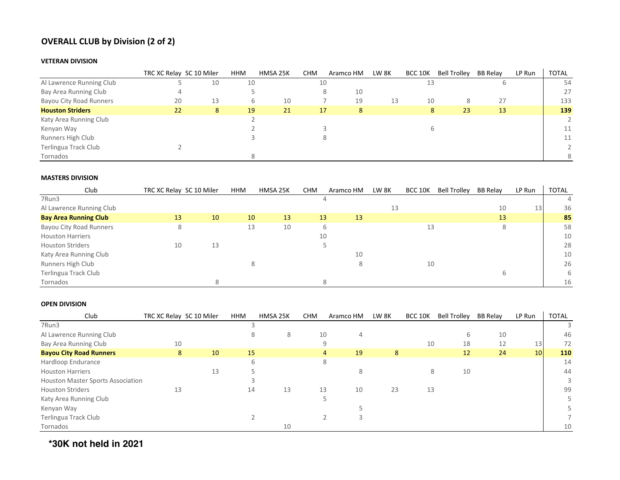# **OVERALL CLUB by Division (2 of 2)**

### **VETERAN DIVISION**

|                                | TRC XC Relay SC 10 Miler |    | <b>HHM</b> | HMSA 25K | <b>CHM</b> | Aramco HM | LW 8K | <b>BCC 10K</b> | <b>Bell Trolley</b> | <b>BB Relay</b> | LP Run | <b>TOTAL</b>   |
|--------------------------------|--------------------------|----|------------|----------|------------|-----------|-------|----------------|---------------------|-----------------|--------|----------------|
| Al Lawrence Running Club       |                          | 10 | 10         |          | 10         |           |       | 13             |                     |                 |        | 54             |
| Bay Area Running Club          |                          |    |            |          |            | 10        |       |                |                     |                 |        | 27             |
| <b>Bayou City Road Runners</b> | 20                       | 13 | b.         | 10       |            | 19        | 13    | 10             | 8.                  | 27              |        | 133            |
| <b>Houston Striders</b>        | 22                       | 8  | 19         | 21       | 17         | 8         |       | 8              | 23                  | 13              |        | 139            |
| Katy Area Running Club         |                          |    |            |          |            |           |       |                |                     |                 |        | $2^{\circ}$    |
| Kenyan Way                     |                          |    |            |          |            |           |       |                |                     |                 |        | 11             |
| Runners High Club              |                          |    |            |          |            |           |       |                |                     |                 |        | 11             |
| Terlingua Track Club           |                          |    |            |          |            |           |       |                |                     |                 |        | $\overline{2}$ |
| Tornados                       |                          |    |            |          |            |           |       |                |                     |                 |        | 8              |

### **MASTERS DIVISION**

| Club                           | TRC XC Relay SC 10 Miler |    | <b>HHM</b> | HMSA 25K | <b>CHM</b> | Aramco HM | LW 8K | <b>BCC 10K</b> | <b>Bell Trolley</b> | <b>BB Relay</b> | LP Run | <b>TOTAL</b> |
|--------------------------------|--------------------------|----|------------|----------|------------|-----------|-------|----------------|---------------------|-----------------|--------|--------------|
| 7Run3                          |                          |    |            |          |            |           |       |                |                     |                 |        |              |
| Al Lawrence Running Club       |                          |    |            |          |            |           | 13    |                |                     | 10              | 13     | 36           |
| <b>Bay Area Running Club</b>   | 13                       | 10 | 10         | 13       | 13         | 13        |       |                |                     | 13              |        | 85           |
| <b>Bayou City Road Runners</b> | 8                        |    | 13         | 10       |            | b.        |       | 13             |                     |                 |        | 58           |
| <b>Houston Harriers</b>        |                          |    |            |          | 10         |           |       |                |                     |                 |        | 10           |
| <b>Houston Striders</b>        | 10                       | 13 |            |          |            |           |       |                |                     |                 |        | 28           |
| Katy Area Running Club         |                          |    |            |          |            | 10        |       |                |                     |                 |        | 10           |
| Runners High Club              |                          |    | 8          |          |            |           |       | 10             |                     |                 |        | 26           |
| Terlingua Track Club           |                          |    |            |          |            |           |       |                |                     |                 |        | 6            |
| Tornados                       |                          |    |            |          |            |           |       |                |                     |                 |        | 16           |

### **OPEN DIVISION**

| Club                                     | TRC XC Relay SC 10 Miler |    | <b>HHM</b> | HMSA 25K | <b>CHM</b> | Aramco HM            | LW 8K | <b>BCC 10K</b> | <b>Bell Trolley</b> | <b>BB Relay</b> | LP Run | <b>TOTAL</b> |
|------------------------------------------|--------------------------|----|------------|----------|------------|----------------------|-------|----------------|---------------------|-----------------|--------|--------------|
| 7Run3                                    |                          |    |            |          |            |                      |       |                |                     |                 |        |              |
| Al Lawrence Running Club                 |                          |    |            | 8        | 10         | 4                    |       |                | 6                   | 10              |        | 46           |
| Bay Area Running Club                    | 10                       |    |            |          |            | 9                    |       | 10             | 18                  | 12              | 13     | 72           |
| <b>Bayou City Road Runners</b>           | 8                        | 10 | 15         |          |            | 19<br>$\overline{4}$ | 8     |                | 12                  | 24              | 10     | 110          |
| Hardloop Endurance                       |                          |    |            |          |            | 8                    |       |                |                     |                 |        | 14           |
| <b>Houston Harriers</b>                  |                          | 13 |            |          |            | 8                    |       | 8              | 10                  |                 |        | 44           |
| <b>Houston Master Sports Association</b> |                          |    |            |          |            |                      |       |                |                     |                 |        | 3            |
| <b>Houston Striders</b>                  | 13                       |    | 14         | 13       | 13         | 10                   | 23    | 13             |                     |                 |        | 99           |
| Katy Area Running Club                   |                          |    |            |          |            |                      |       |                |                     |                 |        |              |
| Kenyan Way                               |                          |    |            |          |            |                      |       |                |                     |                 |        |              |
| Terlingua Track Club                     |                          |    |            |          |            |                      |       |                |                     |                 |        |              |
| Tornados                                 |                          |    |            | 10       |            |                      |       |                |                     |                 |        | 10           |

**\*30K not held in 2021**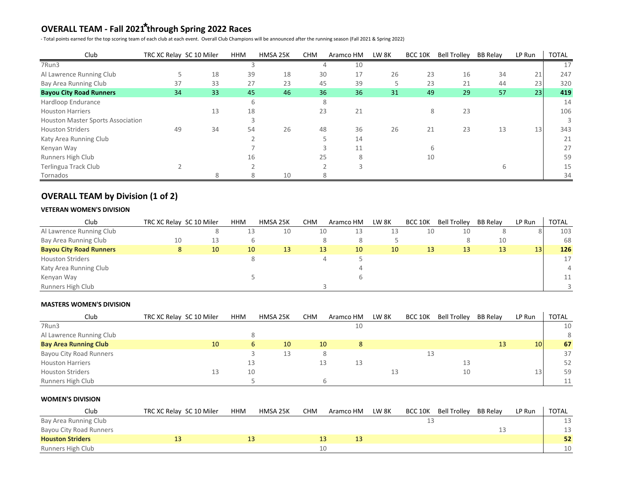# **OVERALL TEAM - Fall 2021 through Spring 2022 Races \***

- Total points earned for the top scoring team of each club at each event. Overall Club Champions will be announced after the running season (Fall 2021 & Spring 2022)

| Club                                     | TRC XC Relay SC 10 Miler |    | <b>HHM</b> | HMSA 25K | <b>CHM</b> | Aramco HM | LW 8K | BCC 10K | Bell Trolley BB Relay |    | LP Run | <b>TOTAL</b> |
|------------------------------------------|--------------------------|----|------------|----------|------------|-----------|-------|---------|-----------------------|----|--------|--------------|
| 7Run3                                    |                          |    |            |          |            | 10        |       |         |                       |    |        | 17           |
| Al Lawrence Running Club                 |                          | 18 | 39         | 18       | 30         | 17        | 26    | 23      | 16                    | 34 | 21     | 247          |
| Bay Area Running Club                    | 37                       | 33 | 27         | 23       | 45         | 39        |       | 23      | 21                    | 44 | 23     | 320          |
| <b>Bayou City Road Runners</b>           | 34                       | 33 | 45         | 46       | 36         | 36        | 31    | 49      | 29                    | 57 | 23     | 419          |
| Hardloop Endurance                       |                          |    | b          |          | 8          |           |       |         |                       |    |        | 14           |
| <b>Houston Harriers</b>                  |                          | 13 | 18         |          | 23         | 21        |       | 8       | 23                    |    |        | 106          |
| <b>Houston Master Sports Association</b> |                          |    |            |          |            |           |       |         |                       |    |        |              |
| <b>Houston Striders</b>                  | 49                       | 34 | 54         | 26       | 48         | 36        | 26    | 21      | 23                    | 13 | 13     | 343          |
| Katy Area Running Club                   |                          |    |            |          |            | 14        |       |         |                       |    |        | 21           |
| Kenyan Way                               |                          |    |            |          |            | 11        |       |         |                       |    |        | 27           |
| Runners High Club                        |                          |    | 16         |          | 25         |           |       | 10      |                       |    |        | 59           |
| Terlingua Track Club                     |                          |    |            |          |            |           |       |         |                       |    |        | 15           |
| Tornados                                 |                          |    |            | 10       | 8          |           |       |         |                       |    |        | 34           |

## **OVERALL TEAM by Division (1 of 2)**

### **VETERAN WOMEN'S DIVISION**

| Club                           | TRC XC Relay SC 10 Miler |    | <b>HHM</b> | HMSA 25K | <b>CHM</b> | Aramco HM | LW <sub>8K</sub> | <b>BCC 10K</b> | <b>Bell Trolley</b> | <b>BB Relay</b> | LP Run | <b>TOTAL</b> |
|--------------------------------|--------------------------|----|------------|----------|------------|-----------|------------------|----------------|---------------------|-----------------|--------|--------------|
| Al Lawrence Running Club       |                          |    | 13         | 10       | 10         | 13        | 13               | 10             | 10                  |                 |        | 103          |
| Bay Area Running Club          | 10                       | 13 |            |          |            |           |                  |                |                     | 10              |        | 68           |
| <b>Bayou City Road Runners</b> |                          | 10 | 10         | 13       | 13         | 10        | 10               | 13             | 13                  | 13              | 13     | 126          |
| <b>Houston Striders</b>        |                          |    |            |          |            | 4         |                  |                |                     |                 |        | 17           |
| Katy Area Running Club         |                          |    |            |          |            |           |                  |                |                     |                 |        |              |
| Kenyan Way                     |                          |    |            |          |            |           |                  |                |                     |                 |        | 11           |
| Runners High Club              |                          |    |            |          |            |           |                  |                |                     |                 |        |              |

### **MASTERS WOMEN'S DIVISION**

| Club                           | TRC XC Relay SC 10 Miler | <b>HHM</b> | HMSA 25K | <b>CHM</b> | Aramco HM | LW <sub>8K</sub> | <b>BCC 10K</b> | <b>Bell Trolley</b> | <b>BB Relay</b> | LP Run          | <b>TOTAL</b> |
|--------------------------------|--------------------------|------------|----------|------------|-----------|------------------|----------------|---------------------|-----------------|-----------------|--------------|
| 7Run3                          |                          |            |          |            | 10        |                  |                |                     |                 |                 | 10           |
| Al Lawrence Running Club       |                          |            |          |            |           |                  |                |                     |                 |                 | 8            |
| <b>Bay Area Running Club</b>   | 10                       |            | 10       | 10         | 8         |                  |                |                     | 13              | 10 <sup>1</sup> | 67           |
| <b>Bayou City Road Runners</b> |                          |            | 13       |            |           |                  | 13             |                     |                 |                 | 37           |
| <b>Houston Harriers</b>        |                          |            |          |            | 13        |                  |                |                     |                 |                 | 52           |
| <b>Houston Striders</b>        | 13                       | 10         |          |            |           |                  |                | 10                  |                 | ا31             | 59           |
| Runners High Club              |                          |            |          |            |           |                  |                |                     |                 |                 |              |

### **WOMEN'S DIVISION**

| Club                           | TRC XC Relay SC 10 Miler | <b>HHM</b> | HMSA 25K | <b>CHM</b> | Aramco HM | LW 8K | BCC 10K | <b>Bell Trolley</b> | <b>BB Relay</b> | LP Run | TOTAL |
|--------------------------------|--------------------------|------------|----------|------------|-----------|-------|---------|---------------------|-----------------|--------|-------|
| Bay Area Running Club          |                          |            |          |            |           |       |         |                     |                 |        |       |
| <b>Bayou City Road Runners</b> |                          |            |          |            |           |       |         |                     |                 |        |       |
| <b>Houston Striders</b>        |                          |            |          |            |           |       |         |                     |                 |        | 52    |
| Runners High Club              |                          |            |          |            |           |       |         |                     |                 |        | 10    |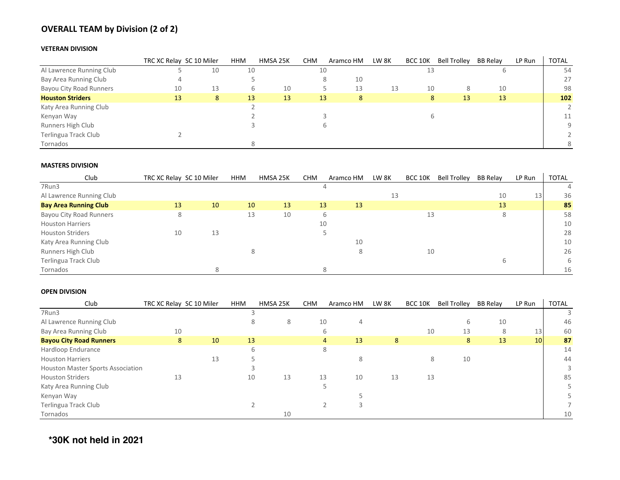# **OVERALL TEAM by Division (2 of 2)**

### **VETERAN DIVISION**

|                                | TRC XC Relay SC 10 Miler |    | <b>HHM</b> | HMSA 25K | <b>CHM</b> | Aramco HM | LW 8K | BCC 10K | <b>Bell Trolley</b> | BB Relay | LP Run | <b>TOTAL</b>   |
|--------------------------------|--------------------------|----|------------|----------|------------|-----------|-------|---------|---------------------|----------|--------|----------------|
| Al Lawrence Running Club       |                          | 10 | 10         |          | 10         |           |       | 13      |                     |          |        | 54             |
| Bay Area Running Club          |                          |    |            |          |            | 10        |       |         |                     |          |        | 27             |
| <b>Bayou City Road Runners</b> | 10                       | 13 | b          | 10       |            | 13        | 13    | 10      | 8                   | 10       |        | 98             |
| <b>Houston Striders</b>        | 13                       | 8  | 13         | 13       | 13         | 8         |       | 8.      | 13                  | 13       |        | 102            |
| Katy Area Running Club         |                          |    |            |          |            |           |       |         |                     |          |        | $\overline{2}$ |
| Kenyan Way                     |                          |    |            |          |            |           |       |         |                     |          |        | 11             |
| Runners High Club              |                          |    |            |          |            |           |       |         |                     |          |        | Q              |
| Terlingua Track Club           |                          |    |            |          |            |           |       |         |                     |          |        |                |
| Tornados                       |                          |    |            |          |            |           |       |         |                     |          |        | ହ              |

### **MASTERS DIVISION**

| Club                           | TRC XC Relay SC 10 Miler |    | <b>HHM</b> | HMSA 25K | <b>CHM</b> | Aramco HM | LW 8K | <b>BCC 10K</b> | <b>Bell Trolley</b> | BB Relay | LP Run          | <b>TOTAL</b> |
|--------------------------------|--------------------------|----|------------|----------|------------|-----------|-------|----------------|---------------------|----------|-----------------|--------------|
| 7Run3                          |                          |    |            |          |            |           |       |                |                     |          |                 | 4            |
| Al Lawrence Running Club       |                          |    |            |          |            |           | 13    |                |                     | 10       | 13 <sup>1</sup> | 36           |
| <b>Bay Area Running Club</b>   | 13                       | 10 | 10         | 13       | 13         | 13        |       |                |                     | 13       |                 | 85           |
| <b>Bayou City Road Runners</b> | 8                        |    | 13         | 10       |            | b         |       | 13             |                     |          |                 | 58           |
| <b>Houston Harriers</b>        |                          |    |            |          | 10         |           |       |                |                     |          |                 | 10           |
| <b>Houston Striders</b>        | 10                       | 13 |            |          |            |           |       |                |                     |          |                 | 28           |
| Katy Area Running Club         |                          |    |            |          |            | 10        |       |                |                     |          |                 | 10           |
| Runners High Club              |                          |    |            |          |            |           |       | 10             |                     |          |                 | 26           |
| Terlingua Track Club           |                          |    |            |          |            |           |       |                |                     |          |                 | 6            |
| Tornados                       |                          |    |            |          |            |           |       |                |                     |          |                 | 16           |

### **OPEN DIVISION**

| Club                                     | TRC XC Relay SC 10 Miler |    | <b>HHM</b> | HMSA 25K | <b>CHM</b> | Aramco HM            | LW 8K | <b>BCC 10K</b> | <b>Bell Trolley</b> | <b>BB Relay</b> | LP Run | <b>TOTAL</b> |
|------------------------------------------|--------------------------|----|------------|----------|------------|----------------------|-------|----------------|---------------------|-----------------|--------|--------------|
| 7Run3                                    |                          |    |            |          |            |                      |       |                |                     |                 |        |              |
| Al Lawrence Running Club                 |                          |    |            | 8        | 10         | 4                    |       |                | b                   | 10              |        | 46           |
| Bay Area Running Club                    | 10                       |    |            |          |            | b                    |       | 10             | 13                  | 8               | 13     | 60           |
| <b>Bayou City Road Runners</b>           | 8                        | 10 | 13         |          |            | 13<br>$\overline{4}$ | 8     |                | 8                   | 13              | 10     | 87           |
| Hardloop Endurance                       |                          |    |            |          |            | 8                    |       |                |                     |                 |        | 14           |
| <b>Houston Harriers</b>                  |                          | 13 |            |          |            |                      |       | 8              | 10                  |                 |        | 44           |
| <b>Houston Master Sports Association</b> |                          |    |            |          |            |                      |       |                |                     |                 |        |              |
| <b>Houston Striders</b>                  | 13                       |    | 10         | 13       | 13         | 10                   | 13    | 13             |                     |                 |        | 85           |
| Katy Area Running Club                   |                          |    |            |          |            |                      |       |                |                     |                 |        |              |
| Kenyan Way                               |                          |    |            |          |            |                      |       |                |                     |                 |        |              |
| Terlingua Track Club                     |                          |    |            |          |            |                      |       |                |                     |                 |        |              |
| Tornados                                 |                          |    |            | 10       |            |                      |       |                |                     |                 |        | 10           |

**\*30K not held in 2021**